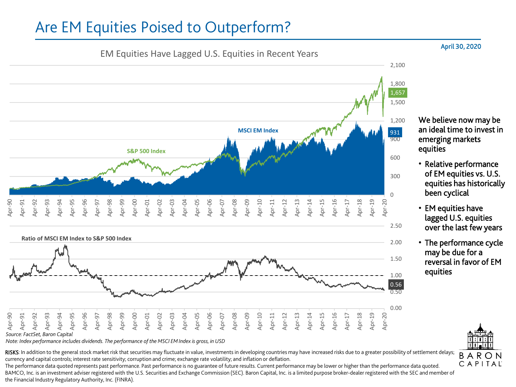## Are EM Equities Poised to Outperform?





*Note: Index performance includes dividends. The performance of the MSCI EM Index is gross, in USD*

RISKS: In addition to the general stock market risk that securities may fluctuate in value, investments in developing countries may have increased risks due to a greater possibility of settlement delays; currency and capital controls; interest rate sensitivity; corruption and crime; exchange rate volatility; and inflation or deflation.

The performance data quoted represents past performance. Past performance is no guarantee of future results. Current performance may be lower or higher than the performance data quoted. BAMCO, Inc. is an investment adviser registered with the U.S. Securities and Exchange Commission (SEC). Baron Capital, Inc. is a limited purpose broker-dealer registered with the SEC and member of the Financial Industry Regulatory Authority, Inc. (FINRA).

## April 30, 2020

We believe now may be an ideal time to invest in emerging markets equities

- Relative performance of EM equities vs. U.S. equities has historically been cyclical
- EM equities have lagged U.S. equities over the last few years
- The performance cycle may be due for a reversal in favor of EM equities